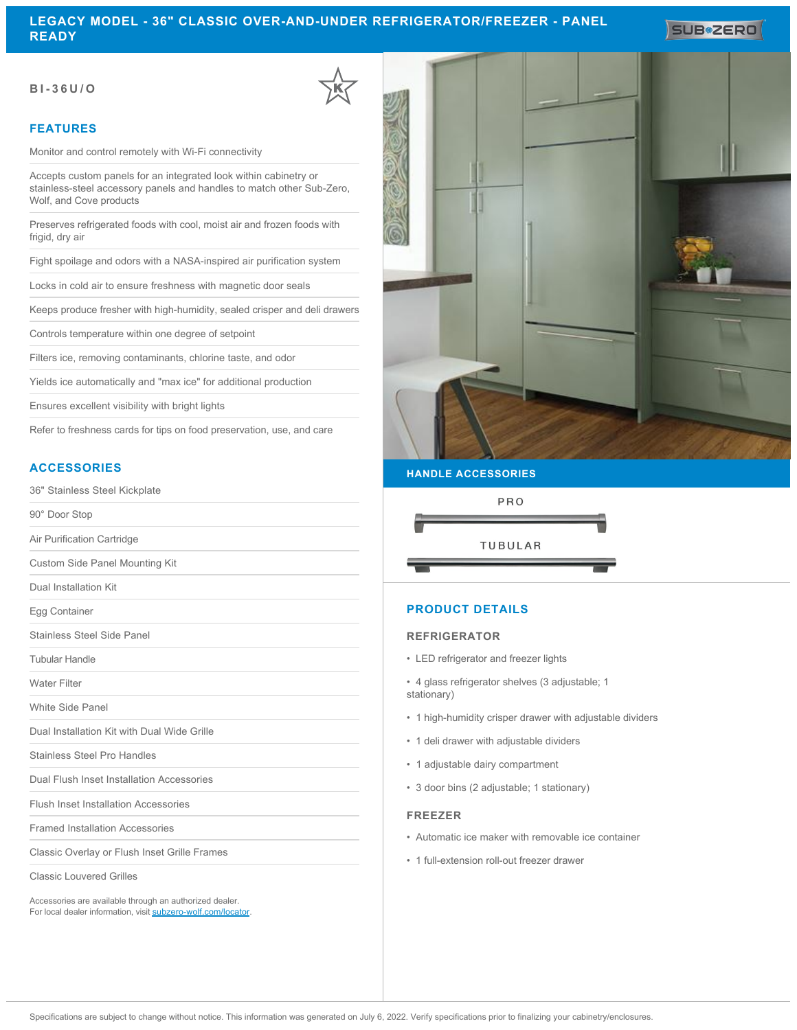**SUB#2ERO** 

## **BI-36U/O**

## **FEATURES**

Monitor and control remotely with Wi-Fi connectivity

Accepts custom panels for an integrated look within cabinetry or stainless-steel accessory panels and handles to match other Sub-Zero, Wolf, and Cove products

Preserves refrigerated foods with cool, moist air and frozen foods with frigid, dry air

Fight spoilage and odors with a NASA-inspired air purification system

Locks in cold air to ensure freshness with magnetic door seals

Keeps produce fresher with high-humidity, sealed crisper and deli drawers

Controls temperature within one degree of setpoint

Filters ice, removing contaminants, chlorine taste, and odor

Yields ice automatically and "max ice" for additional production

Ensures excellent visibility with bright lights

Refer to freshness cards for tips on food preservation, use, and care

# **ACCESSORIES**

36" Stainless Steel Kickplate

90° Door Stop

Air Purification Cartridge

Custom Side Panel Mounting Kit

Dual Installation Kit

Egg Container

Stainless Steel Side Panel

Tubular Handle

Water Filter

White Side Panel

Dual Installation Kit with Dual Wide Grille

Stainless Steel Pro Handles

Dual Flush Inset Installation Accessories

Flush Inset Installation Accessories

Framed Installation Accessories

Classic Overlay or Flush Inset Grille Frames

Classic Louvered Grilles

Accessories are available through an authorized dealer. For local dealer information, visit [subzero-wolf.com/locator.](http://www.subzero-wolf.com/locator)



### **HANDLE ACCESSORIES**



# **PRODUCT DETAILS**

### **REFRIGERATOR**

• LED refrigerator and freezer lights

• 4 glass refrigerator shelves (3 adjustable; 1 stationary)

- 1 high-humidity crisper drawer with adjustable dividers
- 1 deli drawer with adjustable dividers
- 1 adjustable dairy compartment
- 3 door bins (2 adjustable; 1 stationary)

### **FREEZER**

- Automatic ice maker with removable ice container
- 1 full-extension roll-out freezer drawer